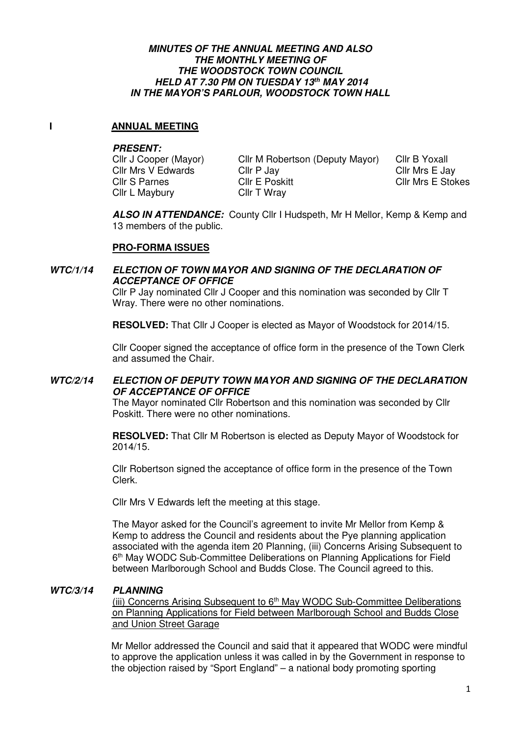#### **MINUTES OF THE ANNUAL MEETING AND ALSO THE MONTHLY MEETING OF THE WOODSTOCK TOWN COUNCIL HELD AT 7.30 PM ON TUESDAY 13th MAY 2014 IN THE MAYOR'S PARLOUR, WOODSTOCK TOWN HALL**

### **I** ANNUAL MEETING

#### **PRESENT:**

Cllr Mrs V Edwards Cllr P Jay<br>Cllr S Parnes Cllr E Poskitt Cllr L Maybury Cllr T Wray

Cllr J Cooper (Mayor) Cllr M Robertson (Deputy Mayor) Cllr B Yoxall<br>Cllr Mrs V Edwards Cllr P Jav Cllr Cllr Mrs E Jav

Cllr Mrs E Stokes

 **ALSO IN ATTENDANCE:** County Cllr I Hudspeth, Mr H Mellor, Kemp & Kemp and 13 members of the public.

### **PRO-FORMA ISSUES**

### **WTC/1/14 ELECTION OF TOWN MAYOR AND SIGNING OF THE DECLARATION OF ACCEPTANCE OF OFFICE**

 Cllr P Jay nominated Cllr J Cooper and this nomination was seconded by Cllr T Wray. There were no other nominations.

**RESOLVED:** That Cllr J Cooper is elected as Mayor of Woodstock for 2014/15.

 Cllr Cooper signed the acceptance of office form in the presence of the Town Clerk and assumed the Chair.

### **WTC/2/14 ELECTION OF DEPUTY TOWN MAYOR AND SIGNING OF THE DECLARATION OF ACCEPTANCE OF OFFICE**

 The Mayor nominated Cllr Robertson and this nomination was seconded by Cllr Poskitt. There were no other nominations.

**RESOLVED:** That Cllr M Robertson is elected as Deputy Mayor of Woodstock for 2014/15.

 Cllr Robertson signed the acceptance of office form in the presence of the Town Clerk.

Cllr Mrs V Edwards left the meeting at this stage.

The Mayor asked for the Council's agreement to invite Mr Mellor from Kemp & Kemp to address the Council and residents about the Pye planning application associated with the agenda item 20 Planning, (iii) Concerns Arising Subsequent to 6<sup>th</sup> May WODC Sub-Committee Deliberations on Planning Applications for Field between Marlborough School and Budds Close. The Council agreed to this.

### **WTC/3/14 PLANNING**

(iii) Concerns Arising Subsequent to  $6<sup>th</sup>$  May WODC Sub-Committee Deliberations on Planning Applications for Field between Marlborough School and Budds Close and Union Street Garage

Mr Mellor addressed the Council and said that it appeared that WODC were mindful to approve the application unless it was called in by the Government in response to the objection raised by "Sport England" – a national body promoting sporting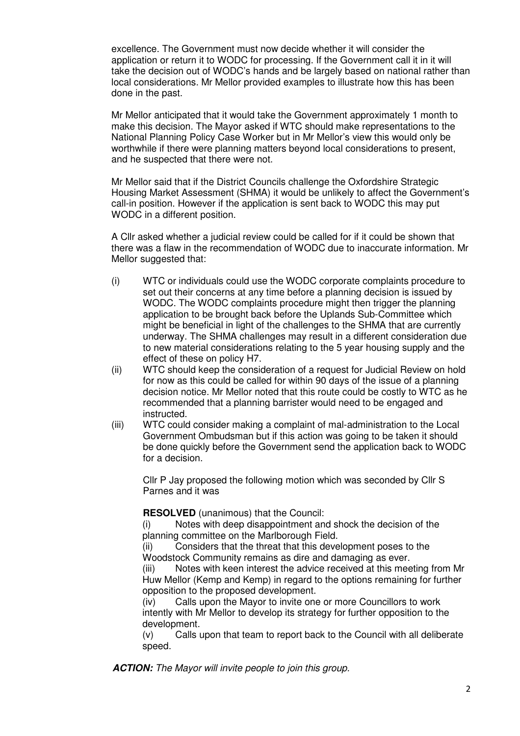excellence. The Government must now decide whether it will consider the application or return it to WODC for processing. If the Government call it in it will take the decision out of WODC's hands and be largely based on national rather than local considerations. Mr Mellor provided examples to illustrate how this has been done in the past.

Mr Mellor anticipated that it would take the Government approximately 1 month to make this decision. The Mayor asked if WTC should make representations to the National Planning Policy Case Worker but in Mr Mellor's view this would only be worthwhile if there were planning matters beyond local considerations to present, and he suspected that there were not.

Mr Mellor said that if the District Councils challenge the Oxfordshire Strategic Housing Market Assessment (SHMA) it would be unlikely to affect the Government's call-in position. However if the application is sent back to WODC this may put WODC in a different position.

A Cllr asked whether a judicial review could be called for if it could be shown that there was a flaw in the recommendation of WODC due to inaccurate information. Mr Mellor suggested that:

- (i) WTC or individuals could use the WODC corporate complaints procedure to set out their concerns at any time before a planning decision is issued by WODC. The WODC complaints procedure might then trigger the planning application to be brought back before the Uplands Sub-Committee which might be beneficial in light of the challenges to the SHMA that are currently underway. The SHMA challenges may result in a different consideration due to new material considerations relating to the 5 year housing supply and the effect of these on policy H7.
- (ii) WTC should keep the consideration of a request for Judicial Review on hold for now as this could be called for within 90 days of the issue of a planning decision notice. Mr Mellor noted that this route could be costly to WTC as he recommended that a planning barrister would need to be engaged and instructed.
- (iii) WTC could consider making a complaint of mal-administration to the Local Government Ombudsman but if this action was going to be taken it should be done quickly before the Government send the application back to WODC for a decision.

Cllr P Jay proposed the following motion which was seconded by Cllr S Parnes and it was

**RESOLVED** (unanimous) that the Council:

(i) Notes with deep disappointment and shock the decision of the planning committee on the Marlborough Field.

(ii) Considers that the threat that this development poses to the Woodstock Community remains as dire and damaging as ever.

(iii) Notes with keen interest the advice received at this meeting from Mr Huw Mellor (Kemp and Kemp) in regard to the options remaining for further opposition to the proposed development.

(iv) Calls upon the Mayor to invite one or more Councillors to work intently with Mr Mellor to develop its strategy for further opposition to the development.

(v) Calls upon that team to report back to the Council with all deliberate speed.

**ACTION:** The Mayor will invite people to join this group.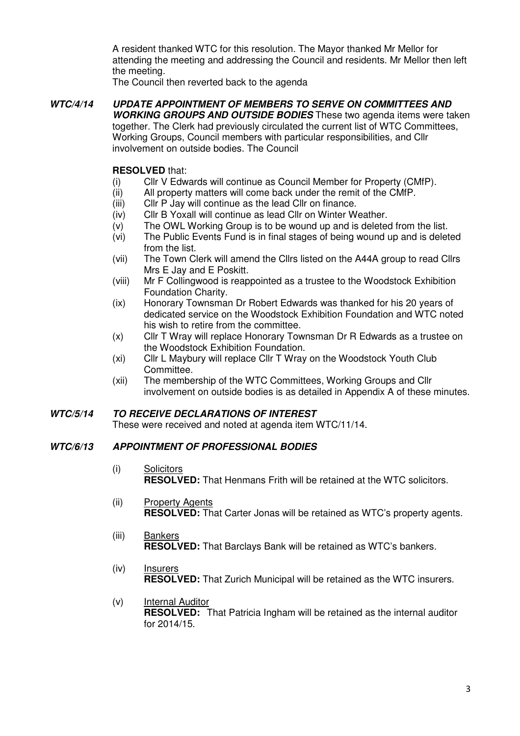A resident thanked WTC for this resolution. The Mayor thanked Mr Mellor for attending the meeting and addressing the Council and residents. Mr Mellor then left the meeting.

The Council then reverted back to the agenda

## **WTC/4/14 UPDATE APPOINTMENT OF MEMBERS TO SERVE ON COMMITTEES AND WORKING GROUPS AND OUTSIDE BODIES** These two agenda items were taken

 together. The Clerk had previously circulated the current list of WTC Committees, Working Groups, Council members with particular responsibilities, and Cllr involvement on outside bodies. The Council

## **RESOLVED** that:

- (i) Cllr V Edwards will continue as Council Member for Property (CMfP).
- (ii) All property matters will come back under the remit of the CMfP.
- (iii) Cllr P Jay will continue as the lead Cllr on finance.
- (iv) Cllr B Yoxall will continue as lead Cllr on Winter Weather.
- (v) The OWL Working Group is to be wound up and is deleted from the list.
- (vi) The Public Events Fund is in final stages of being wound up and is deleted from the list.
- (vii) The Town Clerk will amend the Cllrs listed on the A44A group to read Cllrs Mrs E Jay and E Poskitt.
- (viii) Mr F Collingwood is reappointed as a trustee to the Woodstock Exhibition Foundation Charity.
- (ix) Honorary Townsman Dr Robert Edwards was thanked for his 20 years of dedicated service on the Woodstock Exhibition Foundation and WTC noted his wish to retire from the committee.
- (x) Cllr T Wray will replace Honorary Townsman Dr R Edwards as a trustee on the Woodstock Exhibition Foundation.
- (xi) Cllr L Maybury will replace Cllr T Wray on the Woodstock Youth Club Committee.
- (xii) The membership of the WTC Committees, Working Groups and Cllr involvement on outside bodies is as detailed in Appendix A of these minutes.

### **WTC/5/14 TO RECEIVE DECLARATIONS OF INTEREST**

These were received and noted at agenda item WTC/11/14.

## **WTC/6/13 APPOINTMENT OF PROFESSIONAL BODIES**

- (i) Solicitors **RESOLVED:** That Henmans Frith will be retained at the WTC solicitors.
- (ii) Property Agents **RESOLVED:** That Carter Jonas will be retained as WTC's property agents.
- (iii) Bankers **RESOLVED:** That Barclays Bank will be retained as WTC's bankers.
- (iv) Insurers **RESOLVED:** That Zurich Municipal will be retained as the WTC insurers.
- (v) Internal Auditor **RESOLVED:** That Patricia Ingham will be retained as the internal auditor for 2014/15.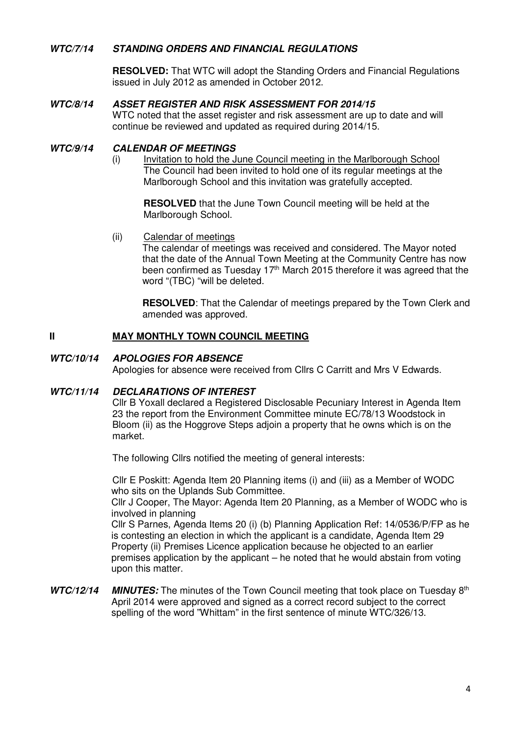### **WTC/7/14 STANDING ORDERS AND FINANCIAL REGULATIONS**

**RESOLVED:** That WTC will adopt the Standing Orders and Financial Regulations issued in July 2012 as amended in October 2012.

### **WTC/8/14 ASSET REGISTER AND RISK ASSESSMENT FOR 2014/15**

WTC noted that the asset register and risk assessment are up to date and will continue be reviewed and updated as required during 2014/15.

### **WTC/9/14 CALENDAR OF MEETINGS**

(i) Invitation to hold the June Council meeting in the Marlborough School The Council had been invited to hold one of its regular meetings at the Marlborough School and this invitation was gratefully accepted.

**RESOLVED** that the June Town Council meeting will be held at the Marlborough School.

(ii) Calendar of meetings

The calendar of meetings was received and considered. The Mayor noted that the date of the Annual Town Meeting at the Community Centre has now been confirmed as Tuesday 17<sup>th</sup> March 2015 therefore it was agreed that the word "(TBC) "will be deleted.

**RESOLVED**: That the Calendar of meetings prepared by the Town Clerk and amended was approved.

### **II MAY MONTHLY TOWN COUNCIL MEETING**

#### **WTC/10/14 APOLOGIES FOR ABSENCE**

Apologies for absence were received from Cllrs C Carritt and Mrs V Edwards.

### **WTC/11/14 DECLARATIONS OF INTEREST**

Cllr B Yoxall declared a Registered Disclosable Pecuniary Interest in Agenda Item 23 the report from the Environment Committee minute EC/78/13 Woodstock in Bloom (ii) as the Hoggrove Steps adjoin a property that he owns which is on the market.

The following Cllrs notified the meeting of general interests:

Cllr E Poskitt: Agenda Item 20 Planning items (i) and (iii) as a Member of WODC who sits on the Uplands Sub Committee. Cllr J Cooper, The Mayor: Agenda Item 20 Planning, as a Member of WODC who is involved in planning

 Cllr S Parnes, Agenda Items 20 (i) (b) Planning Application Ref: 14/0536/P/FP as he is contesting an election in which the applicant is a candidate, Agenda Item 29 Property (ii) Premises Licence application because he objected to an earlier premises application by the applicant – he noted that he would abstain from voting upon this matter.

**WTC/12/14 MINUTES:** The minutes of the Town Council meeting that took place on Tuesday 8<sup>th</sup> April 2014 were approved and signed as a correct record subject to the correct spelling of the word "Whittam" in the first sentence of minute WTC/326/13.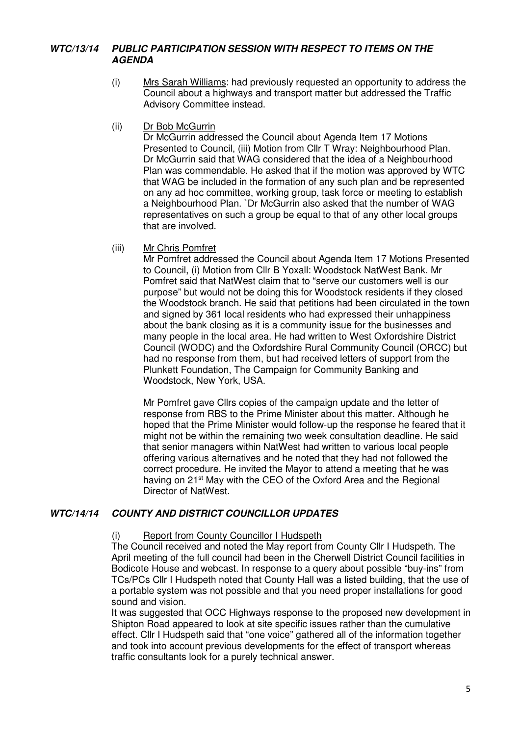## **WTC/13/14 PUBLIC PARTICIPATION SESSION WITH RESPECT TO ITEMS ON THE AGENDA**

- (i) Mrs Sarah Williams: had previously requested an opportunity to address the Council about a highways and transport matter but addressed the Traffic Advisory Committee instead.
- (ii) Dr Bob McGurrin

Dr McGurrin addressed the Council about Agenda Item 17 Motions Presented to Council, (iii) Motion from Cllr T Wray: Neighbourhood Plan. Dr McGurrin said that WAG considered that the idea of a Neighbourhood Plan was commendable. He asked that if the motion was approved by WTC that WAG be included in the formation of any such plan and be represented on any ad hoc committee, working group, task force or meeting to establish a Neighbourhood Plan. `Dr McGurrin also asked that the number of WAG representatives on such a group be equal to that of any other local groups that are involved.

(iii) Mr Chris Pomfret

Mr Pomfret addressed the Council about Agenda Item 17 Motions Presented to Council, (i) Motion from Cllr B Yoxall: Woodstock NatWest Bank. Mr Pomfret said that NatWest claim that to "serve our customers well is our purpose" but would not be doing this for Woodstock residents if they closed the Woodstock branch. He said that petitions had been circulated in the town and signed by 361 local residents who had expressed their unhappiness about the bank closing as it is a community issue for the businesses and many people in the local area. He had written to West Oxfordshire District Council (WODC) and the Oxfordshire Rural Community Council (ORCC) but had no response from them, but had received letters of support from the Plunkett Foundation, The Campaign for Community Banking and Woodstock, New York, USA.

Mr Pomfret gave Cllrs copies of the campaign update and the letter of response from RBS to the Prime Minister about this matter. Although he hoped that the Prime Minister would follow-up the response he feared that it might not be within the remaining two week consultation deadline. He said that senior managers within NatWest had written to various local people offering various alternatives and he noted that they had not followed the correct procedure. He invited the Mayor to attend a meeting that he was having on 21<sup>st</sup> May with the CEO of the Oxford Area and the Regional Director of NatWest.

### **WTC/14/14 COUNTY AND DISTRICT COUNCILLOR UPDATES**

#### (i) Report from County Councillor I Hudspeth

The Council received and noted the May report from County Cllr I Hudspeth. The April meeting of the full council had been in the Cherwell District Council facilities in Bodicote House and webcast. In response to a query about possible "buy-ins" from TCs/PCs Cllr I Hudspeth noted that County Hall was a listed building, that the use of a portable system was not possible and that you need proper installations for good sound and vision.

It was suggested that OCC Highways response to the proposed new development in Shipton Road appeared to look at site specific issues rather than the cumulative effect. Cllr I Hudspeth said that "one voice" gathered all of the information together and took into account previous developments for the effect of transport whereas traffic consultants look for a purely technical answer.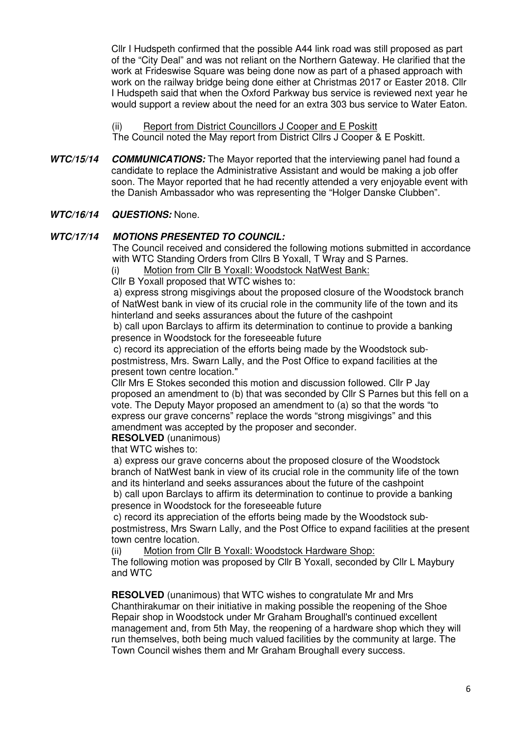Cllr I Hudspeth confirmed that the possible A44 link road was still proposed as part of the "City Deal" and was not reliant on the Northern Gateway. He clarified that the work at Frideswise Square was being done now as part of a phased approach with work on the railway bridge being done either at Christmas 2017 or Easter 2018. Cllr I Hudspeth said that when the Oxford Parkway bus service is reviewed next year he would support a review about the need for an extra 303 bus service to Water Eaton.

(ii) Report from District Councillors J Cooper and E Poskitt

The Council noted the May report from District Cllrs J Cooper & E Poskitt.

**WTC/15/14 COMMUNICATIONS:** The Mayor reported that the interviewing panel had found a candidate to replace the Administrative Assistant and would be making a job offer soon. The Mayor reported that he had recently attended a very enjoyable event with the Danish Ambassador who was representing the "Holger Danske Clubben".

### **WTC/16/14 QUESTIONS:** None.

#### **WTC/17/14 MOTIONS PRESENTED TO COUNCIL:**

 The Council received and considered the following motions submitted in accordance with WTC Standing Orders from Cllrs B Yoxall, T Wray and S Parnes.

(i) Motion from Cllr B Yoxall: Woodstock NatWest Bank:

Cllr B Yoxall proposed that WTC wishes to:

a) express strong misgivings about the proposed closure of the Woodstock branch of NatWest bank in view of its crucial role in the community life of the town and its hinterland and seeks assurances about the future of the cashpoint

b) call upon Barclays to affirm its determination to continue to provide a banking presence in Woodstock for the foreseeable future

c) record its appreciation of the efforts being made by the Woodstock subpostmistress, Mrs. Swarn Lally, and the Post Office to expand facilities at the present town centre location."

Cllr Mrs E Stokes seconded this motion and discussion followed. Cllr P Jay proposed an amendment to (b) that was seconded by Cllr S Parnes but this fell on a vote. The Deputy Mayor proposed an amendment to (a) so that the words "to express our grave concerns" replace the words "strong misgivings" and this amendment was accepted by the proposer and seconder.

**RESOLVED** (unanimous)

that WTC wishes to:

a) express our grave concerns about the proposed closure of the Woodstock branch of NatWest bank in view of its crucial role in the community life of the town and its hinterland and seeks assurances about the future of the cashpoint b) call upon Barclays to affirm its determination to continue to provide a banking presence in Woodstock for the foreseeable future

c) record its appreciation of the efforts being made by the Woodstock subpostmistress, Mrs Swarn Lally, and the Post Office to expand facilities at the present town centre location.

(ii) Motion from Cllr B Yoxall: Woodstock Hardware Shop:

The following motion was proposed by Cllr B Yoxall, seconded by Cllr L Maybury and WTC

**RESOLVED** (unanimous) that WTC wishes to congratulate Mr and Mrs Chanthirakumar on their initiative in making possible the reopening of the Shoe Repair shop in Woodstock under Mr Graham Broughall's continued excellent management and, from 5th May, the reopening of a hardware shop which they will run themselves, both being much valued facilities by the community at large. The Town Council wishes them and Mr Graham Broughall every success.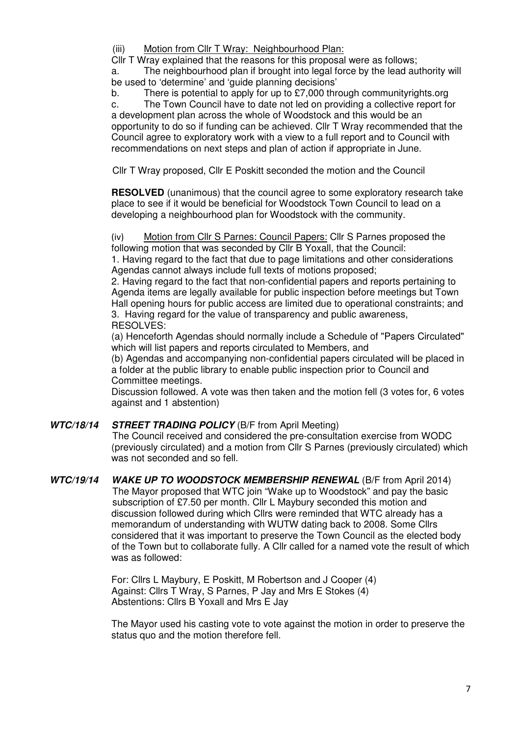(iii) Motion from Cllr T Wray: Neighbourhood Plan:

Cllr T Wray explained that the reasons for this proposal were as follows;

a. The neighbourhood plan if brought into legal force by the lead authority will be used to 'determine' and 'guide planning decisions'

b. There is potential to apply for up to £7,000 through communityrights.org

c. The Town Council have to date not led on providing a collective report for a development plan across the whole of Woodstock and this would be an opportunity to do so if funding can be achieved. Cllr T Wray recommended that the Council agree to exploratory work with a view to a full report and to Council with recommendations on next steps and plan of action if appropriate in June.

Cllr T Wray proposed, Cllr E Poskitt seconded the motion and the Council

**RESOLVED** (unanimous) that the council agree to some exploratory research take place to see if it would be beneficial for Woodstock Town Council to lead on a developing a neighbourhood plan for Woodstock with the community.

(iv) Motion from Cllr S Parnes: Council Papers: Cllr S Parnes proposed the following motion that was seconded by Cllr B Yoxall, that the Council: 1. Having regard to the fact that due to page limitations and other considerations Agendas cannot always include full texts of motions proposed;

2. Having regard to the fact that non-confidential papers and reports pertaining to Agenda items are legally available for public inspection before meetings but Town Hall opening hours for public access are limited due to operational constraints; and 3. Having regard for the value of transparency and public awareness, RESOLVES:

(a) Henceforth Agendas should normally include a Schedule of "Papers Circulated" which will list papers and reports circulated to Members, and

(b) Agendas and accompanying non-confidential papers circulated will be placed in a folder at the public library to enable public inspection prior to Council and Committee meetings.

Discussion followed. A vote was then taken and the motion fell (3 votes for, 6 votes against and 1 abstention)

### **WTC/18/14 STREET TRADING POLICY** (B/F from April Meeting)

 The Council received and considered the pre-consultation exercise from WODC (previously circulated) and a motion from Cllr S Parnes (previously circulated) which was not seconded and so fell.

**WTC/19/14 WAKE UP TO WOODSTOCK MEMBERSHIP RENEWAL** (B/F from April 2014) The Mayor proposed that WTC join "Wake up to Woodstock" and pay the basic subscription of £7.50 per month. Cllr L Maybury seconded this motion and discussion followed during which Cllrs were reminded that WTC already has a memorandum of understanding with WUTW dating back to 2008. Some Cllrs considered that it was important to preserve the Town Council as the elected body of the Town but to collaborate fully. A Cllr called for a named vote the result of which was as followed:

> For: Cllrs L Maybury, E Poskitt, M Robertson and J Cooper (4) Against: Cllrs T Wray, S Parnes, P Jay and Mrs E Stokes (4) Abstentions: Cllrs B Yoxall and Mrs E Jay

The Mayor used his casting vote to vote against the motion in order to preserve the status quo and the motion therefore fell.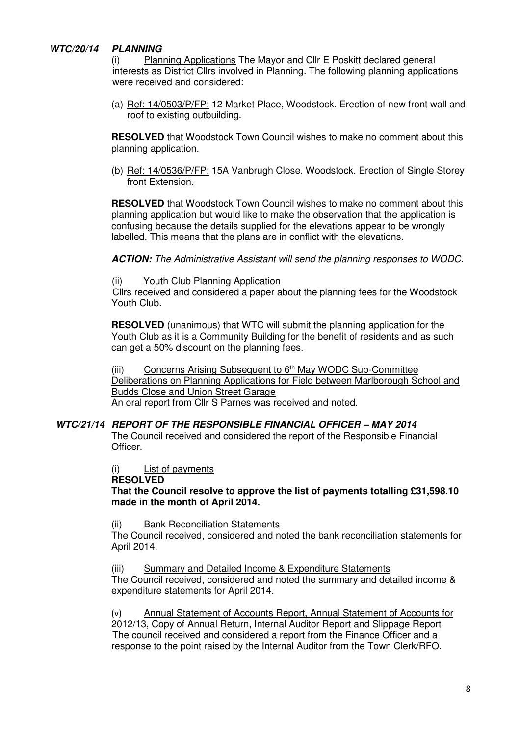### **WTC/20/14 PLANNING**

(i) Planning Applications The Mayor and Cllr E Poskitt declared general interests as District Cllrs involved in Planning. The following planning applications were received and considered:

(a) Ref: 14/0503/P/FP: 12 Market Place, Woodstock. Erection of new front wall and roof to existing outbuilding.

**RESOLVED** that Woodstock Town Council wishes to make no comment about this planning application.

(b) Ref: 14/0536/P/FP: 15A Vanbrugh Close, Woodstock. Erection of Single Storey front Extension.

**RESOLVED** that Woodstock Town Council wishes to make no comment about this planning application but would like to make the observation that the application is confusing because the details supplied for the elevations appear to be wrongly labelled. This means that the plans are in conflict with the elevations.

**ACTION:** The Administrative Assistant will send the planning responses to WODC.

(ii) Youth Club Planning Application

 Cllrs received and considered a paper about the planning fees for the Woodstock Youth Club.

**RESOLVED** (unanimous) that WTC will submit the planning application for the Youth Club as it is a Community Building for the benefit of residents and as such can get a 50% discount on the planning fees.

(iii) Concerns Arising Subsequent to  $6<sup>th</sup>$  May WODC Sub-Committee Deliberations on Planning Applications for Field between Marlborough School and Budds Close and Union Street Garage An oral report from Cllr S Parnes was received and noted.

### **WTC/21/14 REPORT OF THE RESPONSIBLE FINANCIAL OFFICER – MAY 2014**

The Council received and considered the report of the Responsible Financial Officer.

(i) List of payments

#### **RESOLVED**

**That the Council resolve to approve the list of payments totalling £31,598.10 made in the month of April 2014.** 

(ii) Bank Reconciliation Statements

The Council received, considered and noted the bank reconciliation statements for April 2014.

(iii) Summary and Detailed Income & Expenditure Statements

The Council received, considered and noted the summary and detailed income & expenditure statements for April 2014.

(v) Annual Statement of Accounts Report, Annual Statement of Accounts for 2012/13, Copy of Annual Return, Internal Auditor Report and Slippage Report The council received and considered a report from the Finance Officer and a response to the point raised by the Internal Auditor from the Town Clerk/RFO.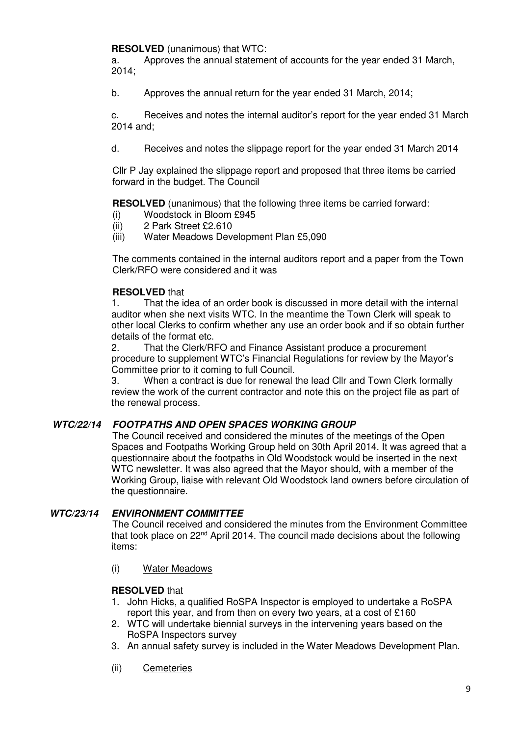**RESOLVED** (unanimous) that WTC:

a. Approves the annual statement of accounts for the year ended 31 March, 2014;

b. Approves the annual return for the year ended 31 March, 2014;

c. Receives and notes the internal auditor's report for the year ended 31 March 2014 and;

d. Receives and notes the slippage report for the year ended 31 March 2014

 Cllr P Jay explained the slippage report and proposed that three items be carried forward in the budget. The Council

**RESOLVED** (unanimous) that the following three items be carried forward:

- (i) Woodstock in Bloom £945
- (ii) 2 Park Street £2.610
- (iii) Water Meadows Development Plan £5,090

 The comments contained in the internal auditors report and a paper from the Town Clerk/RFO were considered and it was

### **RESOLVED** that

1. That the idea of an order book is discussed in more detail with the internal auditor when she next visits WTC. In the meantime the Town Clerk will speak to other local Clerks to confirm whether any use an order book and if so obtain further details of the format etc.

2. That the Clerk/RFO and Finance Assistant produce a procurement procedure to supplement WTC's Financial Regulations for review by the Mayor's Committee prior to it coming to full Council.

3. When a contract is due for renewal the lead Cllr and Town Clerk formally review the work of the current contractor and note this on the project file as part of the renewal process.

## **WTC/22/14 FOOTPATHS AND OPEN SPACES WORKING GROUP**

 The Council received and considered the minutes of the meetings of the Open Spaces and Footpaths Working Group held on 30th April 2014. It was agreed that a questionnaire about the footpaths in Old Woodstock would be inserted in the next WTC newsletter. It was also agreed that the Mayor should, with a member of the Working Group, liaise with relevant Old Woodstock land owners before circulation of the questionnaire.

### **WTC/23/14 ENVIRONMENT COMMITTEE**

The Council received and considered the minutes from the Environment Committee that took place on 22nd April 2014. The council made decisions about the following items:

(i) Water Meadows

### **RESOLVED** that

- 1. John Hicks, a qualified RoSPA Inspector is employed to undertake a RoSPA report this year, and from then on every two years, at a cost of £160
- 2. WTC will undertake biennial surveys in the intervening years based on the RoSPA Inspectors survey
- 3. An annual safety survey is included in the Water Meadows Development Plan.
- (ii) Cemeteries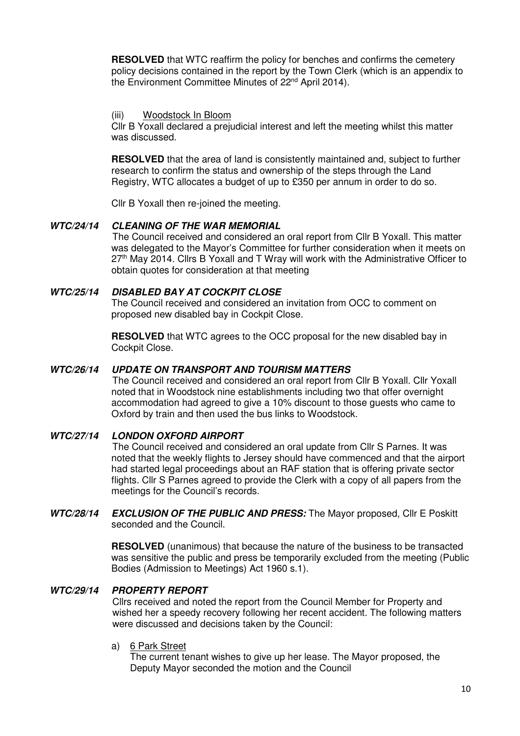**RESOLVED** that WTC reaffirm the policy for benches and confirms the cemetery policy decisions contained in the report by the Town Clerk (which is an appendix to the Environment Committee Minutes of 22<sup>nd</sup> April 2014).

#### (iii) Woodstock In Bloom

Cllr B Yoxall declared a prejudicial interest and left the meeting whilst this matter was discussed.

**RESOLVED** that the area of land is consistently maintained and, subject to further research to confirm the status and ownership of the steps through the Land Registry, WTC allocates a budget of up to £350 per annum in order to do so.

Cllr B Yoxall then re-joined the meeting.

#### **WTC/24/14 CLEANING OF THE WAR MEMORIAL**

The Council received and considered an oral report from Cllr B Yoxall. This matter was delegated to the Mayor's Committee for further consideration when it meets on  $27<sup>th</sup>$  May 2014. Clirs B Yoxall and T Wray will work with the Administrative Officer to obtain quotes for consideration at that meeting

#### **WTC/25/14 DISABLED BAY AT COCKPIT CLOSE**

The Council received and considered an invitation from OCC to comment on proposed new disabled bay in Cockpit Close.

**RESOLVED** that WTC agrees to the OCC proposal for the new disabled bay in Cockpit Close.

#### **WTC/26/14 UPDATE ON TRANSPORT AND TOURISM MATTERS**

 The Council received and considered an oral report from Cllr B Yoxall. Cllr Yoxall noted that in Woodstock nine establishments including two that offer overnight accommodation had agreed to give a 10% discount to those guests who came to Oxford by train and then used the bus links to Woodstock.

#### **WTC/27/14 LONDON OXFORD AIRPORT**

The Council received and considered an oral update from Cllr S Parnes. It was noted that the weekly flights to Jersey should have commenced and that the airport had started legal proceedings about an RAF station that is offering private sector flights. Cllr S Parnes agreed to provide the Clerk with a copy of all papers from the meetings for the Council's records.

**WTC/28/14 EXCLUSION OF THE PUBLIC AND PRESS:** The Mayor proposed, Cllr E Poskitt seconded and the Council.

> **RESOLVED** (unanimous) that because the nature of the business to be transacted was sensitive the public and press be temporarily excluded from the meeting (Public Bodies (Admission to Meetings) Act 1960 s.1).

#### **WTC/29/14 PROPERTY REPORT**

 Cllrs received and noted the report from the Council Member for Property and wished her a speedy recovery following her recent accident. The following matters were discussed and decisions taken by the Council:

#### a) 6 Park Street

The current tenant wishes to give up her lease. The Mayor proposed, the Deputy Mayor seconded the motion and the Council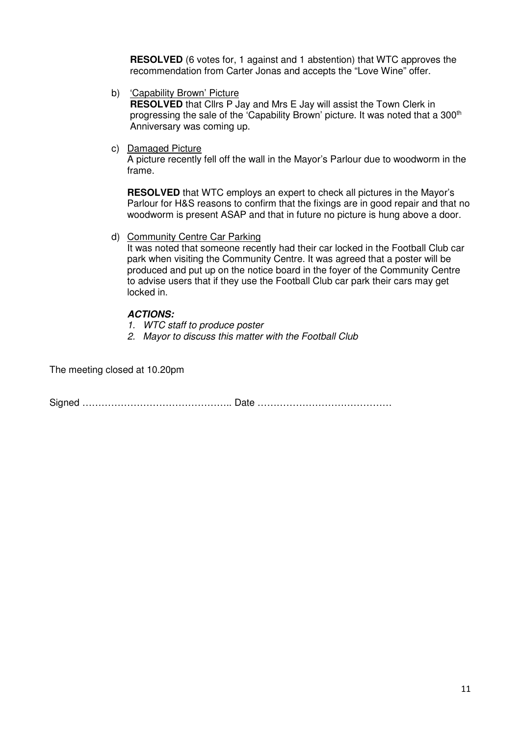**RESOLVED** (6 votes for, 1 against and 1 abstention) that WTC approves the recommendation from Carter Jonas and accepts the "Love Wine" offer.

b) 'Capability Brown' Picture

**RESOLVED** that Cllrs P Jay and Mrs E Jay will assist the Town Clerk in progressing the sale of the 'Capability Brown' picture. It was noted that a 300<sup>th</sup> Anniversary was coming up.

c) Damaged Picture

A picture recently fell off the wall in the Mayor's Parlour due to woodworm in the frame.

**RESOLVED** that WTC employs an expert to check all pictures in the Mayor's Parlour for H&S reasons to confirm that the fixings are in good repair and that no woodworm is present ASAP and that in future no picture is hung above a door.

d) Community Centre Car Parking

It was noted that someone recently had their car locked in the Football Club car park when visiting the Community Centre. It was agreed that a poster will be produced and put up on the notice board in the foyer of the Community Centre to advise users that if they use the Football Club car park their cars may get locked in.

### **ACTIONS:**

- 1. WTC staff to produce poster
- 2. Mayor to discuss this matter with the Football Club

The meeting closed at 10.20pm

Signed ……………………………………….. Date ……………………………………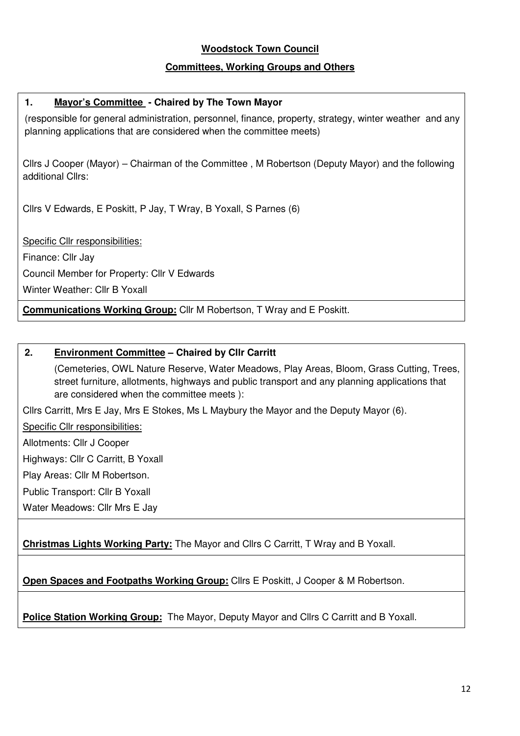## **Woodstock Town Council**

## **Committees, Working Groups and Others**

## **1. Mayor's Committee - Chaired by The Town Mayor**

(responsible for general administration, personnel, finance, property, strategy, winter weather and any planning applications that are considered when the committee meets)

Cllrs J Cooper (Mayor) – Chairman of the Committee , M Robertson (Deputy Mayor) and the following additional Cllrs:

Cllrs V Edwards, E Poskitt, P Jay, T Wray, B Yoxall, S Parnes (6)

Specific Cllr responsibilities:

Finance: Cllr Jay

Council Member for Property: Cllr V Edwards

Winter Weather: Cllr B Yoxall

**Communications Working Group:** Cllr M Robertson, T Wray and E Poskitt.

## **2. Environment Committee – Chaired by Cllr Carritt**

(Cemeteries, OWL Nature Reserve, Water Meadows, Play Areas, Bloom, Grass Cutting, Trees, street furniture, allotments, highways and public transport and any planning applications that are considered when the committee meets ):

Cllrs Carritt, Mrs E Jay, Mrs E Stokes, Ms L Maybury the Mayor and the Deputy Mayor (6).

Specific Cllr responsibilities:

Allotments: Cllr J Cooper

Highways: Cllr C Carritt, B Yoxall

Play Areas: Cllr M Robertson.

Public Transport: Cllr B Yoxall

Water Meadows: Cllr Mrs E Jay

**Christmas Lights Working Party:** The Mayor and Cllrs C Carritt, T Wray and B Yoxall.

**Open Spaces and Footpaths Working Group:** Cllrs E Poskitt, J Cooper & M Robertson.

**Police Station Working Group:** The Mayor, Deputy Mayor and Cllrs C Carritt and B Yoxall.